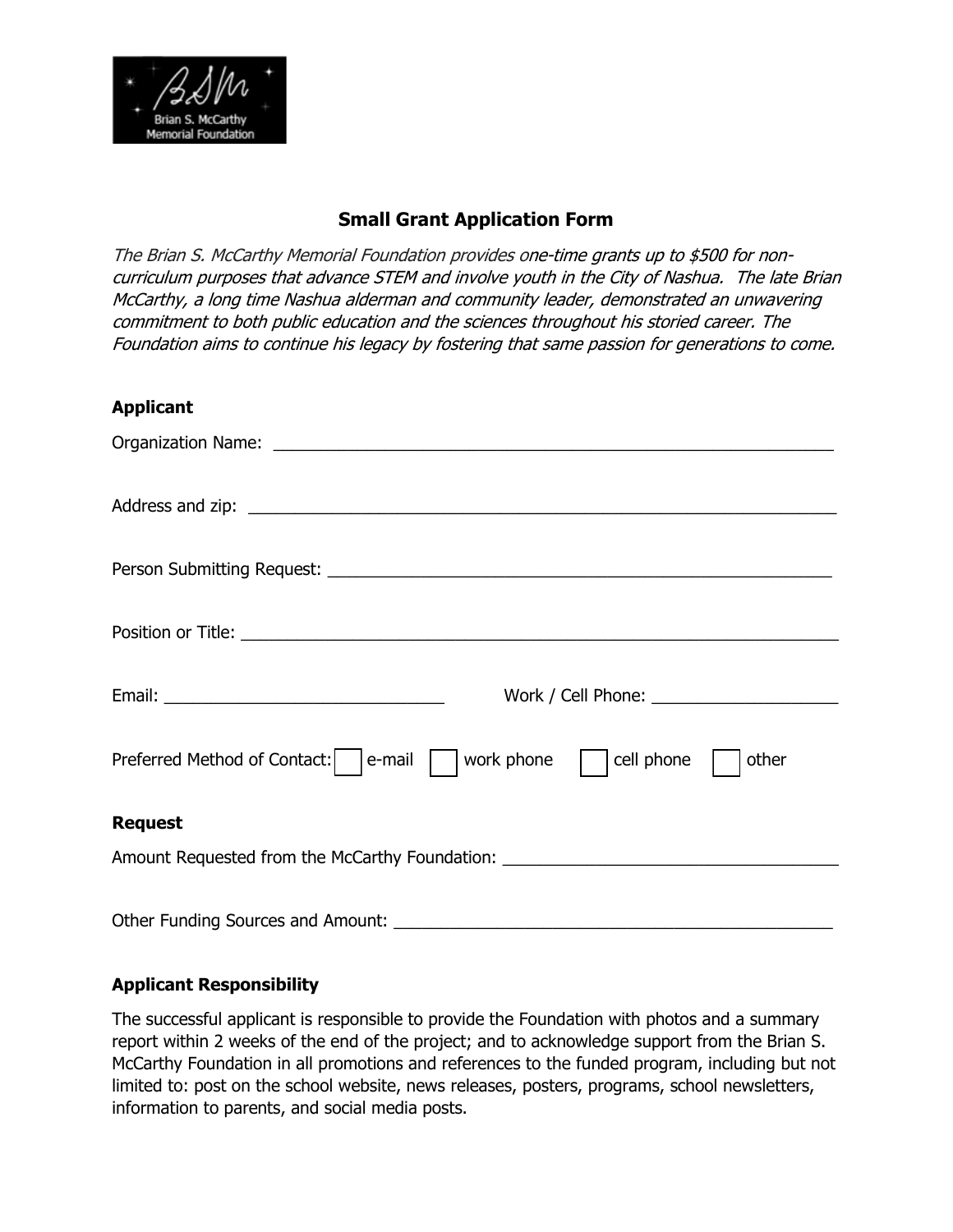

# **Small Grant Application Form**

The Brian S. McCarthy Memorial Foundation provides one-time grants up to \$500 for noncurriculum purposes that advance STEM and involve youth in the City of Nashua. The late Brian McCarthy, a long time Nashua alderman and community leader, demonstrated an unwavering commitment to both public education and the sciences throughout his storied career. The Foundation aims to continue his legacy by fostering that same passion for generations to come.

### **Applicant**

| Work / Cell Phone: <u>contained</u> and the work of the work of the work of the work of the work of the work of the work |
|--------------------------------------------------------------------------------------------------------------------------|
| work phone<br>Preferred Method of Contact:   e-mail  <br>cell phone<br>other                                             |
| <b>Request</b>                                                                                                           |
| Amount Requested from the McCarthy Foundation: _________________________________                                         |
| Other Funding Sources and Amount:                                                                                        |

### **Applicant Responsibility**

The successful applicant is responsible to provide the Foundation with photos and a summary report within 2 weeks of the end of the project; and to acknowledge support from the Brian S. McCarthy Foundation in all promotions and references to the funded program, including but not limited to: post on the school website, news releases, posters, programs, school newsletters, information to parents, and social media posts.